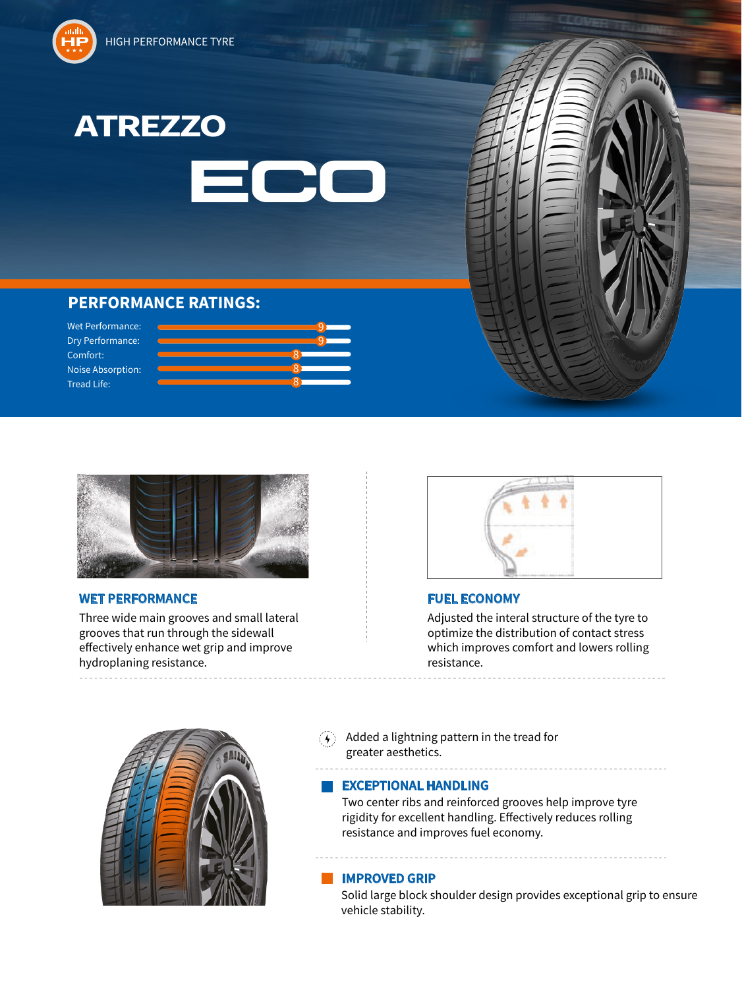





9

9

8

8 8



# **PERFORMANCE RATINGS:**

Wet Performance: Dry Performance: Comfort: Noise Absorption: Tread Life:



## **WET PERFORMANCE FUEL ECONOMY**

Three wide main grooves and small lateral grooves that run through the sidewall effectively enhance wet grip and improve hydroplaning resistance.



Adjusted the interal structure of the tyre to optimize the distribution of contact stress which improves comfort and lowers rolling resistance.

. . . . . . . . . . . . . . . . . . . .



 $\mathcal{F}(A)$  Added a lightning pattern in the tread for greater aesthetics.

### **EXCEPTIONAL HANDLING**

Two center ribs and reinforced grooves help improve tyre rigidity for excellent handling. Effectively reduces rolling resistance and improves fuel economy.

## **IMPROVED GRIP**

Solid large block shoulder design provides exceptional grip to ensure vehicle stability.